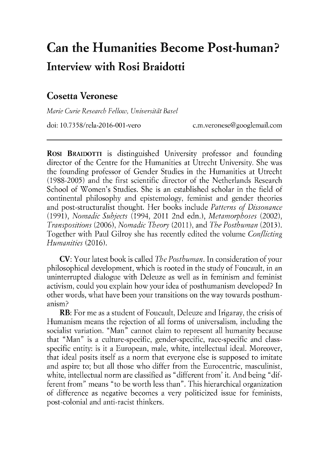## **Can the Humanities Become Post-human? Interview with Rosi Braidotti**

## **Cosetta Veronese**

*Marie Curie Research Fellow, Universitat Basel*

doi: 10.7358/rela-2016-001-vero c.m.veronese@googlemail.com

**Rosi BRAIDOTTI** is distinguished University professor and founding director of the Centre for the Humanities at Utrecht University. She was the founding professor of Gender Studies in the Humanities at Utrecht **(1988-2005)** and the first scientific director of the Netherlands Research School of Women's Studies. She is an established scholar in the field of continental philosophy and epistemology, feminist and gender theories and post-structuralist thought. Her books include *Patterns of Dissonance (1991), Nomadic Subjects (1994,* 2011 2nd edn.), *Metamorphoses (2002), Transpositions (2006), Nomadic Theory (2011), and The Posthuman (2013).* Together with Paul Gilroy she has recently edited the volume *Conflicting Humanities (2016).*

**CV:** Your latest book is called *The Posthuman.* In consideration of your philosophical development, which is rooted in the study of Foucault, in an uninterrupted dialogue with Deleuze as well as in feminism and feminist activism, could you explain how your idea of posthumanism developed? In other words, what have been your transitions on the way towards posthumanism?

**RB:** For me as a student of Foucault, Deleuze and Irigaray, the crisis of Humanism means the rejection of all forms of universalism, including the socialist variation. "Man" cannot claim to represent all humanity because that "Man" is a culture-specific, gender-specific, race-specific and classspecific entity: is **it** a European, male, white, intellectual ideal. Moreover, that ideal posits itself as a norm that everyone else is supposed to imitate and aspire to; but all those who differ from the Eurocentric, masculinist, white, intellectual norm are classified as "different from' **it.** And being "different from" means "to be worth less than". This hierarchical organization of difference as negative becomes a very politicized issue for feminists, post-colonial and anti-racist thinkers.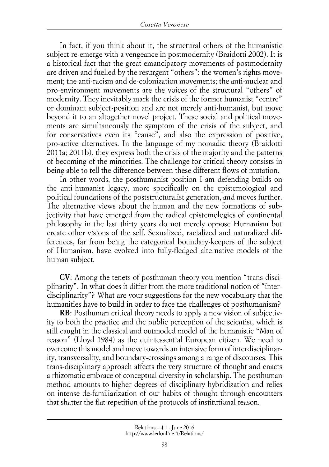In fact, if you think about **it,** the structural others of the humanistic subject re-emerge with a vengeance in postmodernity (Braidotti 2002). It is a historical fact that the great emancipatory movements of postmodernity are driven and fuelled **by** the resurgent "others": the women's rights movement; the anti-racism and de-colonization movements; the anti-nuclear and pro-environment movements are the voices of the structural "others" of modernity. They inevitably mark the crisis of the former humanist "centre" or dominant subject-position and are not merely anti-humanist, but move beyond **it** to an altogether novel project. These social and political movements are simultaneously the symptom of the crisis of the subject, and for conservatives even its "cause", and also the expression of positive, pro-active alternatives. In the language of my nomadic theory (Braidotti *201 1a;* 201 **1b),** they express both the crisis of the majority and the patterns of becoming of the minorities. The challenge for critical theory consists in being able to tell the difference between these different flows of mutation.

In other words, the posthumanist position **I** am defending builds on the anti-humanist legacy, more specifically on the epistemological and political foundations of the poststructuralist generation, and moves further. The alternative views about the human and the new formations of subjectivity that have emerged from the radical epistemologies of continental philosophy in the last thirty years do not merely oppose Humanism but create other visions of the self. Sexualized, racialized and naturalized differences, far from being the categorical boundary-keepers of the subject of Humanism, have evolved into fully-fledged alternative models of the human subject.

**CV:** Among the tenets of posthuman theory you mention "trans-disciplinarity". In what does **it** differ from the more traditional notion of "interdisciplinarity"? What are your suggestions for the new vocabulary that the humanities have to build in order to face the challenges of posthumanism?

**RB:** Posthuman critical theory needs to apply a new vision of subjectivity to both the practice and the public perception of the scientist, which is still caught in the classical and outmoded model of the humanistic "Man of reason" (Lloyd 1984) as the quintessential European citizen. We need to overcome this model and move towards an intensive form of interdisciplinarity, transversality, and boundary-crossings among a range of discourses. This trans-disciplinary approach affects the very structure of thought and enacts a rhizomatic embrace of conceptual diversity in scholarship. The posthuman method amounts to higher degrees of disciplinary hybridization and relies on intense de-familiarization of our habits of thought through encounters that shatter the flat repetition of the protocols of institutional reason.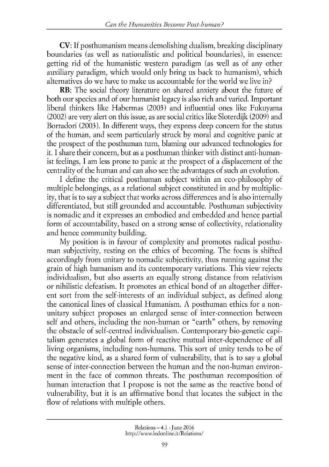**CV: If** posthumanism means demolishing dualism, breaking disciplinary boundaries (as well as nationalistic and political boundaries), in essence: getting rid of the humanistic western paradigm (as well as of any other auxiliary paradigm, which would only bring us back to humanism), which alternatives do we have to make us accountable for the world we live in?

**RB:** The social theory literature on shared anxiety about the future of both our species and of our humanist legacy is also rich and varied. Important liberal thinkers like Habermas **(2003)** and influential ones like Fukuyama (2002) are very alert on this issue, as are social critics like Sloterdijk **(2009)** and Borradori **(2003).** In different ways, they express deep concern for the status of the human, and seem particularly struck **by** moral and cognitive panic at the prospect of the posthuman turn, blaming our advanced technologies for it. **I** share their concern, but as a posthuman thinker with distinct anti-humanist feelings, **I** am less prone to panic at the prospect of a displacement of the centrality of the human and can also see the advantages of such an evolution.

**I** define the critical posthuman subject within an eco-philosophy of multiple belongings, as a relational subject constituted in and **by** multiplicity, that is to say a subject that works across differences and is also internally differentiated, but still grounded and accountable. Posthuman subjectivity is nomadic and it expresses an embodied and embedded and hence partial form of accountability, based on a strong sense of collectivity, relationality and hence community building.

**My** position is in favour of complexity and promotes radical posthuman subjectivity, resting on the ethics of becoming. The focus is shifted accordingly from unitary to nomadic subjectivity, thus running against the grain of high humanism and its contemporary variations. This view rejects individualism, but also asserts an equally strong distance from relativism or nihilistic defeatism. It promotes an ethical bond of an altogether different sort from the self-interests of an individual subject, as defined along the canonical lines of classical Humanism. **A** posthuman ethics for a nonunitary subject proposes an enlarged sense of inter-connection between self and others, including the non-human or "earth" others, **by** removing the obstacle of self-centred individualism. Contemporary bio-genetic capitalism generates a global form of reactive mutual inter-dependence of all living organisms, including non-humans. This sort of unity tends to be of the negative kind, as a shared form of vulnerability, that is to say a global sense of inter-connection between the human and the non-human environment in the face of common threats. The posthuman recomposition of human interaction that **I** propose is not the same as the reactive bond of vulnerability, but it is an affirmative bond that locates the subject in the flow of relations with multiple others.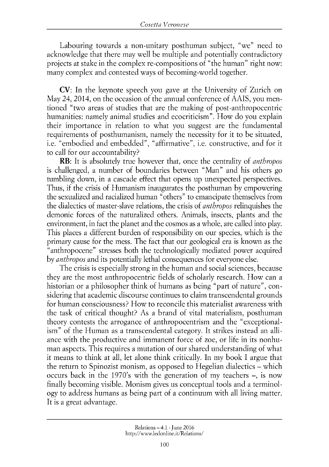Labouring towards a non-unitary posthuman subject, "we" need to acknowledge that there may well be multiple and potentially contradictory projects at stake in the complex re-compositions of "the human" right now: many complex and contested ways of becoming-world together.

**CV:** In the keynote speech you gave at the University of Zurich on May 24, 2014, on the occasion of the annual conference of **AAIS,** you mentioned "two areas of studies that are the making of post-anthropocentric humanities: namely animal studies and ecocriticism". How do you explain their importance in relation to what you suggest are the fundamental requirements of posthumanism, namely the necessity for **it** to be situated, i.e. "embodied and embedded", "affirmative", i.e. constructive, and for **it** to call for our accountability?

**RB:** It is absolutely true however that, once the centrality of *anthropos* is challenged, a number of boundaries between "Man" and his others go tumbling down, in a cascade effect that opens up unexpected perspectives. Thus, if the crisis of Humanism inaugurates the posthuman **by** empowering the sexualized and racialized human "others" to emancipate themselves from the dialectics of master-slave relations, the crisis of *anthropos* relinquishes the demonic forces of the naturalized others. Animals, insects, plants and the environment, in fact the planet and the cosmos as a whole, are called into play. This places a different burden of responsibility on our species, which is the primary cause for the mess. The fact that our geological era is known as the "anthropocene" stresses both the technologically mediated power acquired *by anthropos* and its potentially lethal consequences for everyone else.

The crisis is especially strong in the human and social sciences, because they are the most anthropocentric fields of scholarly research. How can a historian or a philosopher think of humans as being "part of nature", considering that academic discourse continues to claim transcendental grounds for human consciousness? How to reconcile this materialist awareness with the task of critical thought? As a brand of vital materialism, posthuman theory contests the arrogance of anthropocentrism and the "exceptionalism" of the Human as a transcendental category. It strikes instead an alliance with the productive and immanent force of zoe, or life in its nonhuman aspects. This requires a mutation of our shared understanding of what **it** means to think at all, let alone think critically. In my book **I** argue that the return to Spinozist monism, as opposed to Hegelian dialectics **-** which occurs back in the 1970's with the generation of my teachers **-,** is now finally becoming visible. Monism gives us conceptual tools and a terminology to address humans as being part of a continuum with all living matter. It is a great advantage.